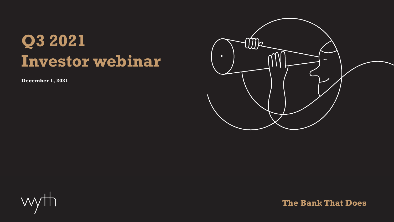# **Q3 2021 Investor webinar**

**December 1, 2021**





**The Bank That Does**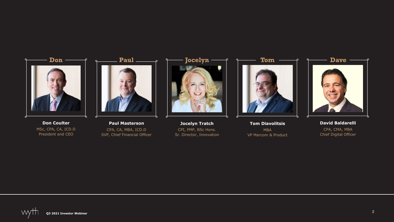

**Don Coulter** MSc, CPA, CA, ICD.D President and CEO



**Paul Masterson** CPA, CA, MBA, ICD.D SVP, Chief Financial Officer



**Jocelyn Tratch** CPI, PMP, BSc Hons. Sr. Director, Innovation



**Tom Diavolitsis** MBA VP Marcom & Product



**David Baldarelli** CPA, CMA, MBA Chief Digital Officer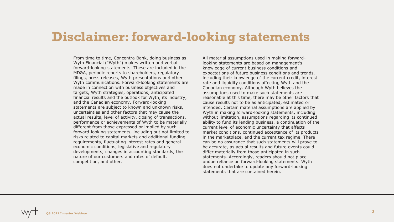#### **Disclaimer: forward-looking statements**

From time to time, Concentra Bank, doing business as Wyth Financial ("Wyth") makes written and verbal forward-looking statements. These are included in the MD&A, periodic reports to shareholders, regulatory filings, press releases, Wyth presentations and other Wyth communications. Forward-looking statements are made in connection with business objectives and targets, Wyth strategies, operations, anticipated financial results and the outlook for Wyth, its industry, and the Canadian economy. Forward-looking statements are subject to known and unknown risks, uncertainties and other factors that may cause the actual results, level of activity, closing of transactions, performance or achievements of Wyth to be materially different from those expressed or implied by such forward-looking statements, including but not limited to risks related to capital markets and additional funding requirements, fluctuating interest rates and general economic conditions, legislative and regulatory developments, changes in accounting standards, the nature of our customers and rates of default, competition, and other.

All material assumptions used in making forwardlooking statements are based on management's knowledge of current business conditions and expectations of future business conditions and trends, including their knowledge of the current credit, interest rate and liquidity conditions affecting Wyth and the Canadian economy. Although Wyth believes the assumptions used to make such statements are reasonable at this time, there may be other factors that cause results not to be as anticipated, estimated or intended. Certain material assumptions are applied by Wyth in making forward-looking statements, including without limitation, assumptions regarding its continued ability to fund its lending business, a continuation of the current level of economic uncertainty that affects market conditions, continued acceptance of its products in the marketplace, and the current tax regime. There can be no assurance that such statements will prove to be accurate, as actual results and future events could differ materially from those anticipated in such statements. Accordingly, readers should not place undue reliance on forward-looking statements. Wyth does not undertake to update any forward-looking statements that are contained herein.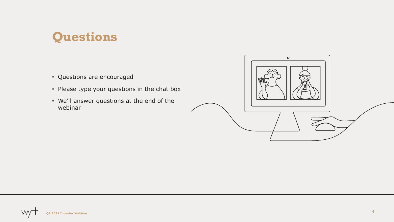### **Questions**

- Questions are encouraged
- Please type your questions in the chat box
- We'll answer questions at the end of the webinar

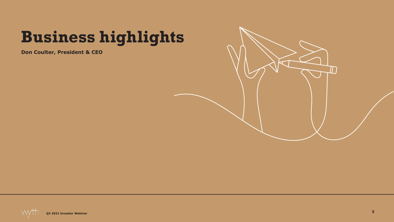# **Business highlights**

**Don Coulter, President & CEO**



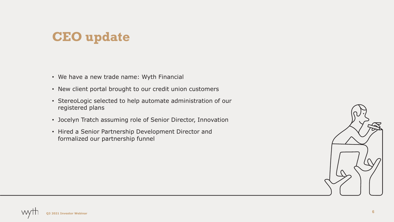### **CEO update**

- We have a new trade name: Wyth Financial
- New client portal brought to our credit union customers
- StereoLogic selected to help automate administration of our registered plans
- Jocelyn Tratch assuming role of Senior Director, Innovation
- Hired a Senior Partnership Development Director and formalized our partnership funnel

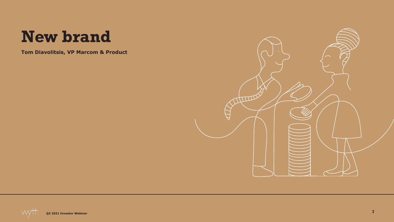## **New brand**

**Tom Diavolitsis, VP Marcom & Product**

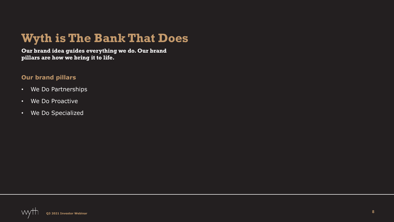### **Wyth is The Bank That Does**

**Our brand idea guides everything we do. Our brand pillars are how we bring it to life.**

#### **Our brand pillars**

- We Do Partnerships
- We Do Proactive
- We Do Specialized

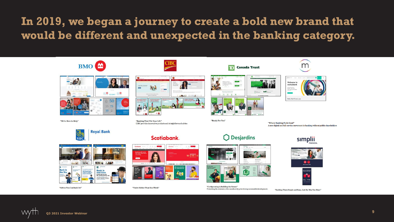#### **In 2019, we began a journey to create a bold new brand that would be different and unexpected in the banking category.**

■ 27.









"Advice You Can Bank On"



"You're Richer Than You Think"



CIBC

"Ready For You"

"Co-Operating in Building the Future" Protecting the interests of its members by prioritizing sustainable development.



**Canada Trust** 

**Bud** 







"Banking Thats Simple and Easy. Just the Way You Want"

A new digital and full-service movement in banking without public shareholders

m



Welcome to motusbank

Rates that'll move you



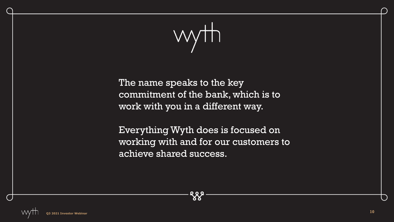

The name speaks to the key commitment of the bank, which is to work with you in a different way.

Everything Wyth does is focused on working with and for our customers to achieve shared success.

**QQQ**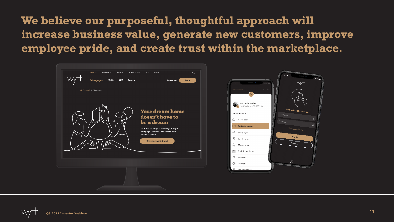**We believe our purposeful, thoughtful approach will increase business value, generate new customers, improve employee pride, and create trust within the marketplace.**

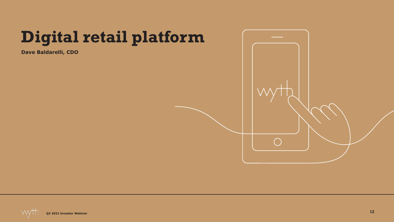# **Digital retail platform**

**Dave Baldarelli, CDO**



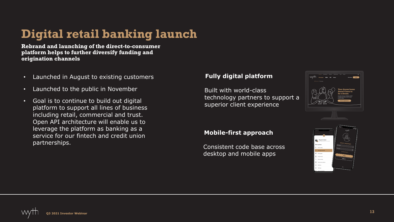### **Digital retail banking launch**

**Rebrand and launching of the direct-to-consumer platform helps to further diversify funding and origination channels**

- Launched in August to existing customers
- Launched to the public in November
- Goal is to continue to build out digital platform to support all lines of business including retail, commercial and trust. Open API architecture will enable us to leverage the platform as banking as a service for our fintech and credit union partnerships.

#### **Fully digital platform**

Built with world-class technology partners to support a superior client experience

#### **Mobile-first approach**

Consistent code base across desktop and mobile apps



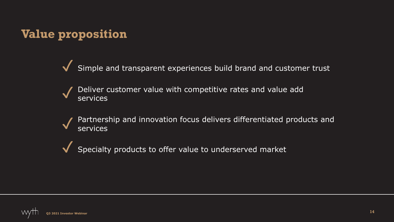### **Value proposition**

Simple and transparent experiences build brand and customer trust ✓

Deliver customer value with competitive rates and value add services ✓

Partnership and innovation focus delivers differentiated products and services ✓

Specialty products to offer value to underserved market ✓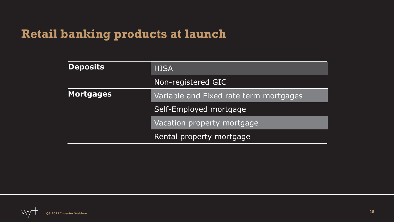#### **Retail banking products at launch**

| <b>Deposits</b>  | <b>HISA</b>                            |  |
|------------------|----------------------------------------|--|
|                  | Non-registered GIC                     |  |
| <b>Mortgages</b> | Variable and Fixed rate term mortgages |  |
|                  | Self-Employed mortgage                 |  |
|                  | Vacation property mortgage             |  |
|                  | Rental property mortgage               |  |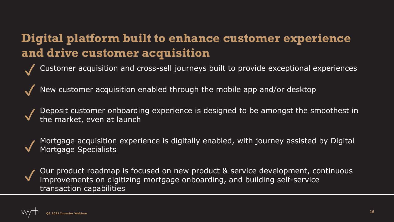### **Digital platform built to enhance customer experience and drive customer acquisition**

- Customer acquisition and cross-sell journeys built to provide exceptional experiences ✓
- New customer acquisition enabled through the mobile app and/or desktop ✓
- Deposit customer onboarding experience is designed to be amongst the smoothest in the market, even at launch ✓
- Mortgage acquisition experience is digitally enabled, with journey assisted by Digital Mortgage Specialists ✓
- Our product roadmap is focused on new product & service development, continuous improvements on digitizing mortgage onboarding, and building self-service transaction capabilities ✓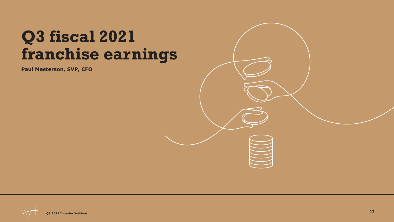## **Q3 fiscal 2021 franchise earnings**

**Paul Masterson, SVP, CFO**



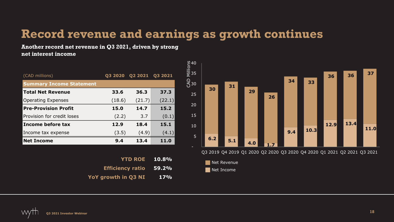#### **Record revenue and earnings as growth continues**

**Another record net revenue in Q3 2021, driven by strong net interest income**

| (CAD millions)                  | Q3 2020 | Q2 2021 | 03 2021 |
|---------------------------------|---------|---------|---------|
| <b>Summary Income Statement</b> |         |         |         |
| <b>Total Net Revenue</b>        | 33.6    | 36.3    | 37.3    |
| <b>Operating Expenses</b>       | (18.6)  | (21.7)  | (22.1)  |
| <b>Pre-Provision Profit</b>     | 15.0    | 14.7    | 15.2    |
| Provision for credit loses      | (2.2)   | 3.7     | (0.1)   |
| Income before tax               | 12.9    | 18.4    | 15.1    |
| Income tax expense              | (3.5)   | (4.9)   | (4.1)   |
| <b>Net Income</b>               | 9.4     | 13.4    | 11.0    |

|            | <b>YTD ROE</b> 10.8%          |
|------------|-------------------------------|
|            | <b>Efficiency ratio 59.2%</b> |
| <b>17%</b> | YoY growth in Q3 NI           |



Q3 2019 Q4 2019 Q1 2020 Q2 2020 Q3 2020 Q4 2020 Q1 2021 Q2 2021 Q3 2021



WV **Q3 2021 Investor Webinar**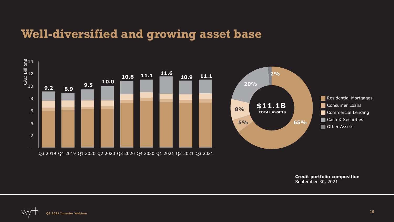#### **Well-diversified and growing asset base**



**Credit portfolio composition** September 30, 2021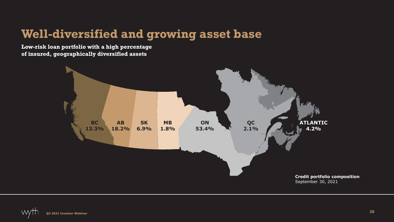#### **Well-diversified and growing asset base**

**Low-risk loan portfolio with a high percentage of insured, geographically diversified assets**

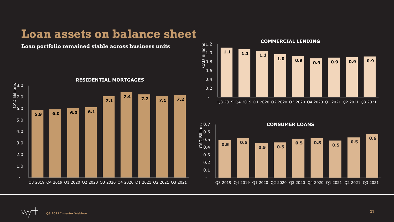#### **Loan assets on balance sheet**



#### **Loan portfolio remained stable across business units**



Q3 2019 Q4 2019 Q1 2020 Q2 2020 Q3 2020 Q4 2020 Q1 2021 Q2 2021 Q3 2021

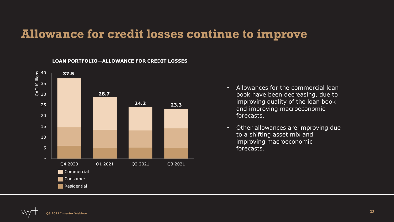#### **Allowance for credit losses continue to improve**



#### **LOAN PORTFOLIO—ALLOWANCE FOR CREDIT LOSSES**

- Allowances for the commercial loan book have been decreasing, due to improving quality of the loan book and improving macroeconomic forecasts.
- Other allowances are improving due to a shifting asset mix and improving macroeconomic forecasts.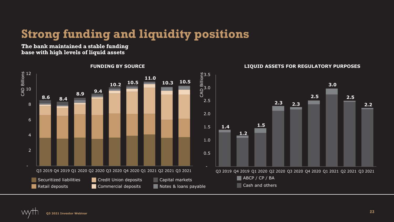## **Strong funding and liquidity positions**

**The bank maintained a stable funding base with high levels of liquid assets**



**Q3 2021 Investor Webinar**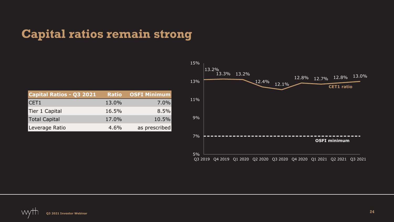### **Capital ratios remain strong**

| Capital Ratios - Q3 2021 |       | <b>Ratio OSFI Minimum</b> |
|--------------------------|-------|---------------------------|
| ICET1                    | 13.0% | $7.0\%$                   |
| Tier 1 Capital           | 16.5% | 8.5%                      |
| Total Capital            | 17.0% | 10.5%                     |
| Leverage Ratio           | 4.6%  | as prescribed             |

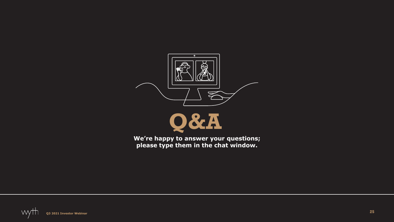



**We're happy to answer your questions; please type them in the chat window.**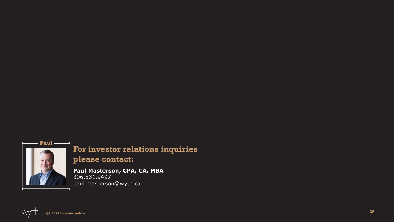

#### **For investor relations inquiries please contact:**

**Paul Masterson, CPA, CA, MBA** 306.531.9497 paul.masterson@wyth.ca